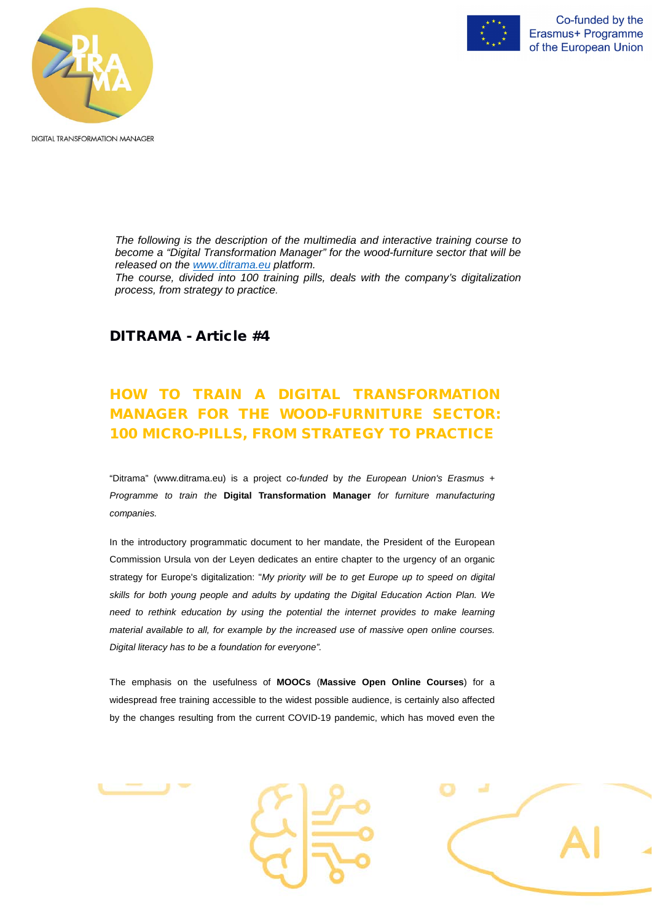



**DIGITAL TRANSFORMATION MANAGER** 

*The following is the description of the multimedia and interactive training course to become a "Digital Transformation Manager" for the wood-furniture sector that will be released on the [www.ditrama.eu](http://www.ditrama.eu/) platform.*

*The course, divided into 100 training pills, deals with the company's digitalization process, from strategy to practice.*

## DITRAMA - Article #4

# HOW TO TRAIN A DIGITAL TRANSFORMATION MANAGER FOR THE WOOD-FURNITURE SECTOR: 100 MICRO-PILLS, FROM STRATEGY TO PRACTICE

"Ditrama" (www.ditrama.eu) is a project c*o*-*funded* by *the European Union's Erasmus + Programme to train the* **Digital Transformation Manager** *for furniture manufacturing companies.*

In the introductory programmatic document to her mandate, the President of the European Commission Ursula von der Leyen dedicates an entire chapter to the urgency of an organic strategy for Europe's digitalization: "*My priority will be to get Europe up to speed on digital skills for both young people and adults by updating the Digital Education Action Plan. We need to rethink education by using the potential the internet provides to make learning material available to all, for example by the increased use of massive open online courses. Digital literacy has to be a foundation for everyone".*

widespread free training accessible to the widest possible audience, is certainly also affected

by the changes resulting from the current COVID-19 pandemic, which has moved even the



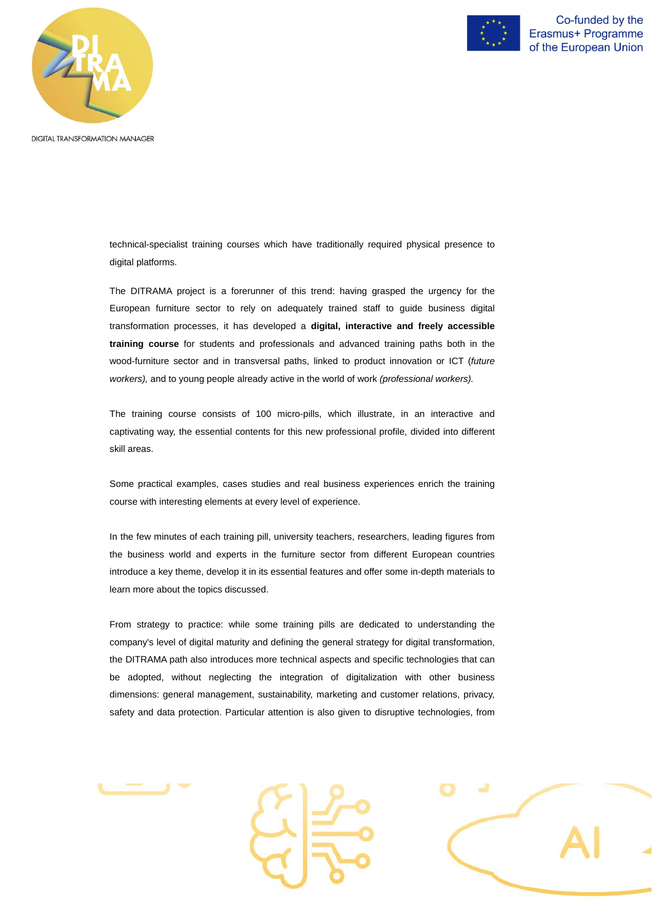



Co-funded by the Erasmus+ Programme of the European Union

**DIGITAL TRANSFORMATION MANAGER** 

technical-specialist training courses which have traditionally required physical presence to digital platforms.

The DITRAMA project is a forerunner of this trend: having grasped the urgency for the European furniture sector to rely on adequately trained staff to guide business digital transformation processes, it has developed a **digital, interactive and freely accessible training course** for students and professionals and advanced training paths both in the wood-furniture sector and in transversal paths, linked to product innovation or ICT (*future workers),* and to young people already active in the world of work *(professional workers).*

The training course consists of 100 micro-pills, which illustrate, in an interactive and captivating way, the essential contents for this new professional profile, divided into different skill areas.

Some practical examples, cases studies and real business experiences enrich the training course with interesting elements at every level of experience.

In the few minutes of each training pill, university teachers, researchers, leading figures from the business world and experts in the furniture sector from different European countries introduce a key theme, develop it in its essential features and offer some in-depth materials to learn more about the topics discussed.

From strategy to practice: while some training pills are dedicated to understanding the company's level of digital maturity and defining the general strategy for digital transformation, the DITRAMA path also introduces more technical aspects and specific technologies that can be adopted, without neglecting the integration of digitalization with other business dimensions: general management, sustainability, marketing and customer relations, privacy,

safety and data protection. Particular attention is also given to disruptive technologies, from



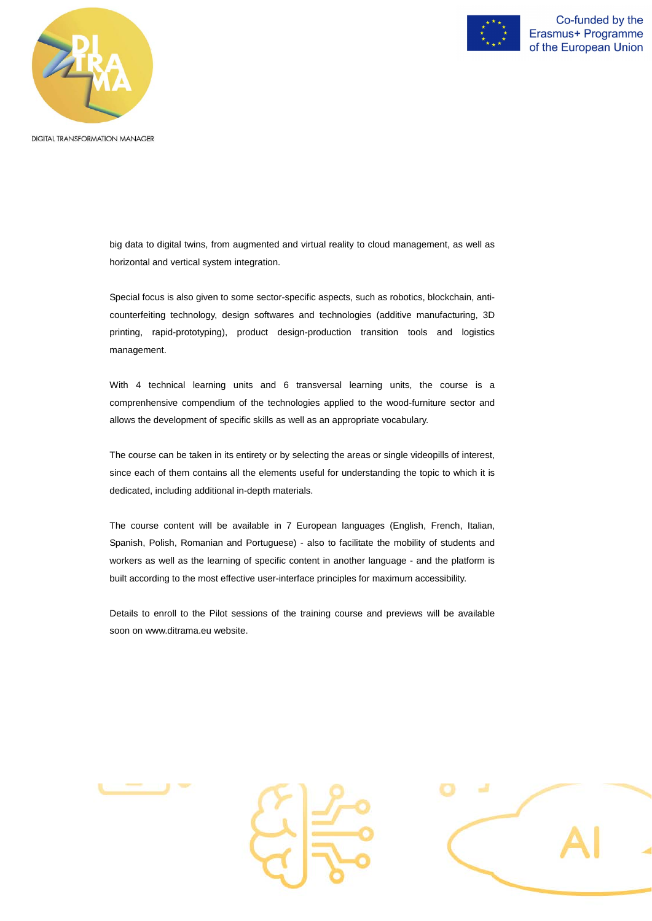



Co-funded by the Erasmus+ Programme of the European Union

**DIGITAL TRANSFORMATION MANAGER** 

big data to digital twins, from augmented and virtual reality to cloud management, as well as horizontal and vertical system integration.

Special focus is also given to some sector-specific aspects, such as robotics, blockchain, anticounterfeiting technology, design softwares and technologies (additive manufacturing, 3D printing, rapid-prototyping), product design-production transition tools and logistics management.

With 4 technical learning units and 6 transversal learning units, the course is a comprenhensive compendium of the technologies applied to the wood-furniture sector and allows the development of specific skills as well as an appropriate vocabulary.

The course can be taken in its entirety or by selecting the areas or single videopills of interest, since each of them contains all the elements useful for understanding the topic to which it is dedicated, including additional in-depth materials.

The course content will be available in 7 European languages (English, French, Italian, Spanish, Polish, Romanian and Portuguese) - also to facilitate the mobility of students and workers as well as the learning of specific content in another language - and the platform is built according to the most effective user-interface principles for maximum accessibility.

Details to enroll to the Pilot sessions of the training course and previews will be available soon on [www.ditrama.eu](http://www.ditrama.eu/) website.